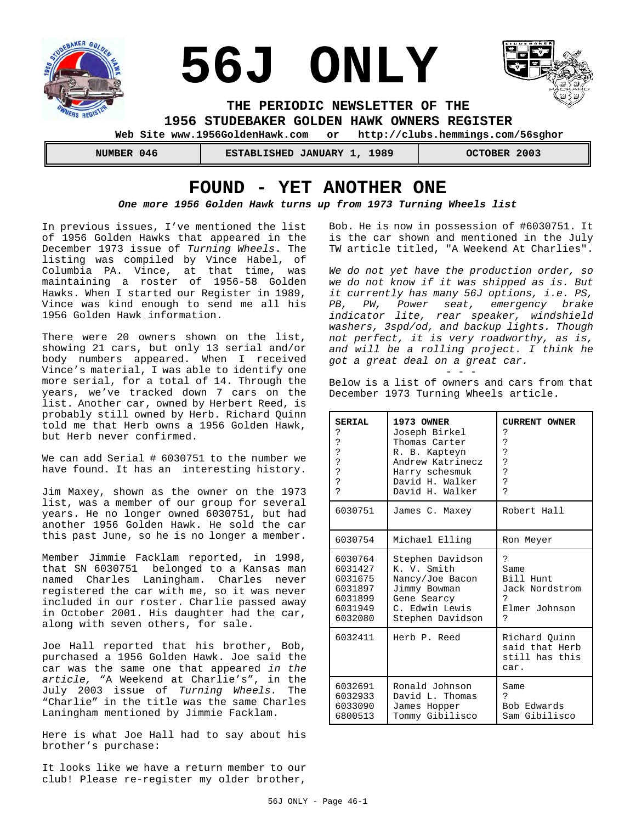

 **Web Site www.1956GoldenHawk.com or http://clubs.hemmings.com/56sghor**

 **NUMBER 046 ESTABLISHED JANUARY 1, 1989 OCTOBER 2003**

# **FOUND - YET ANOTHER ONE**

### *One more 1956 Golden Hawk turns up from 1973 Turning Wheels list*

In previous issues, I've mentioned the list of 1956 Golden Hawks that appeared in the December 1973 issue of *Turning Wheels*. The listing was compiled by Vince Habel, of Columbia PA. Vince, at that time, was maintaining a roster of 1956-58 Golden Hawks. When I started our Register in 1989, Vince was kind enough to send me all his 1956 Golden Hawk information.

There were 20 owners shown on the list, showing 21 cars, but only 13 serial and/or body numbers appeared. When I received Vince's material, I was able to identify one more serial, for a total of 14. Through the years, we've tracked down 7 cars on the list. Another car, owned by Herbert Reed, is probably still owned by Herb. Richard Quinn told me that Herb owns a 1956 Golden Hawk, but Herb never confirmed.

We can add Serial # 6030751 to the number we have found. It has an interesting history.

Jim Maxey, shown as the owner on the 1973 list, was a member of our group for several years. He no longer owned 6030751, but had another 1956 Golden Hawk. He sold the car this past June, so he is no longer a member.

Member Jimmie Facklam reported, in 1998, that SN 6030751 belonged to a Kansas man named Charles Laningham. Charles never registered the car with me, so it was never included in our roster. Charlie passed away in October 2001. His daughter had the car, along with seven others, for sale.

Joe Hall reported that his brother, Bob, purchased a 1956 Golden Hawk. Joe said the car was the same one that appeared *in the article,* "A Weekend at Charlie's", in the July 2003 issue of *Turning Wheels.* The "Charlie" in the title was the same Charles Laningham mentioned by Jimmie Facklam.

Here is what Joe Hall had to say about his brother's purchase:

It looks like we have a return member to our club! Please re-register my older brother,

Bob. He is now in possession of #6030751. It is the car shown and mentioned in the July TW article titled, "A Weekend At Charlies".

*We do not yet have the production order, so we do not know if it was shipped as is. But it currently has many 56J options, i.e. PS, PB, PW, Power seat, emergency brake indicator lite, rear speaker, windshield washers, 3spd/od, and backup lights. Though not perfect, it is very roadworthy, as is, and will be a rolling project. I think he got a great deal on a great car.*

- - - Below is a list of owners and cars from that December 1973 Turning Wheels article.

| SERIAL         | 1973 OWNER       | <b>CURRENT OWNER</b>                                      |  |
|----------------|------------------|-----------------------------------------------------------|--|
| ?              | Joseph Birkel    | ?                                                         |  |
| ?              | Thomas Carter    | Ċ.                                                        |  |
| ?              | R. B. Kapteyn    | ċ                                                         |  |
| ?              | Andrew Katrinecz | ?                                                         |  |
| ?              | Harry schesmuk   | ?                                                         |  |
| ?              | David H. Walker  | ċ                                                         |  |
| $\overline{P}$ | David H. Walker  | Ç                                                         |  |
| 6030751        | James C. Maxey   | Robert Hall                                               |  |
| 6030754        | Michael Elling   | Ron Meyer                                                 |  |
| 6030764        | Stephen Davidson | Ċ                                                         |  |
| 6031427        | K. V. Smith      | Same                                                      |  |
| 6031675        | Nancy/Joe Bacon  | Bill Hunt                                                 |  |
| 6031897        | Jimmy Bowman     | Jack Nordstrom                                            |  |
| 6031899        | Gene Searcy      | っ                                                         |  |
| 6031949        | C. Edwin Lewis   | Elmer Johnson                                             |  |
| 6032080        | Stephen Davidson | Ç                                                         |  |
| 6032411        | Herb P. Reed     | Richard Ouinn<br>said that Herb<br>still has this<br>car. |  |
| 6032691        | Ronald Johnson   | Same                                                      |  |
| 6032933        | David L. Thomas  | 5                                                         |  |
| 6033090        | James Hopper     | Bob Edwards                                               |  |
| 6800513        | Tommy Gibilisco  | Sam Gibilisco                                             |  |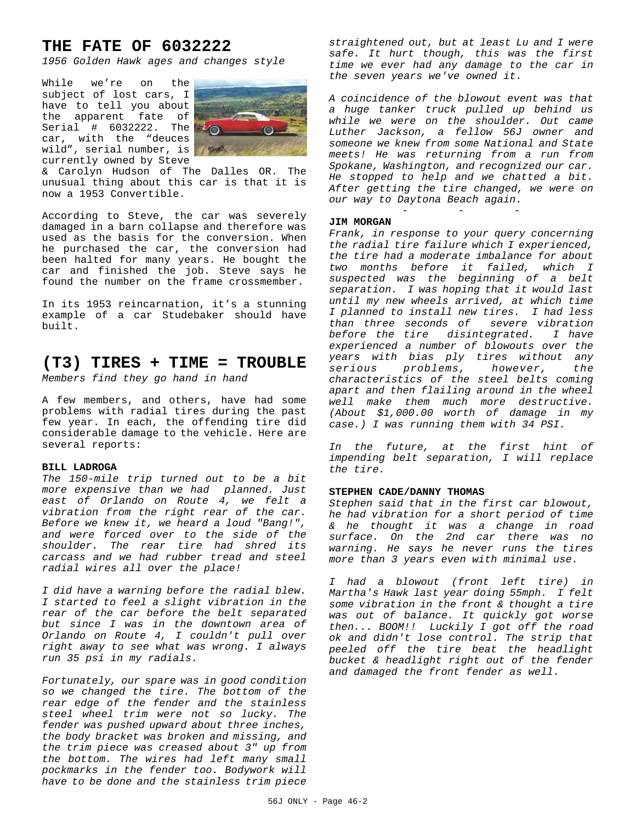# **THE FATE OF 6032222**

*1956 Golden Hawk ages and changes style*

While we're on the subject of lost cars, I have to tell you about the apparent fate of Serial #  $6032222$ . The  $\sqrt[3]{\odot}$ car, with the "deuces wild", serial number, is currently owned by Steve



& Carolyn Hudson of The Dalles OR. The unusual thing about this car is that it is now a 1953 Convertible.

According to Steve, the car was severely damaged in a barn collapse and therefore was used as the basis for the conversion. When he purchased the car, the conversion had been halted for many years. He bought the car and finished the job. Steve says he found the number on the frame crossmember.

In its 1953 reincarnation, it's a stunning example of a car Studebaker should have built.

## **(T3) TIRES + TIME = TROUBLE**

*Members find they go hand in hand*

A few members, and others, have had some problems with radial tires during the past few year. In each, the offending tire did considerable damage to the vehicle. Here are several reports:

#### **BILL LADROGA**

*The 150-mile trip turned out to be a bit more expensive than we had planned. Just east of Orlando on Route 4, we felt a vibration from the right rear of the car. Before we knew it, we heard a loud "Bang!", and were forced over to the side of the shoulder. The rear tire had shred its carcass and we had rubber tread and steel radial wires all over the place!*

*I did have a warning before the radial blew. I started to feel a slight vibration in the rear of the car before the belt separated but since I was in the downtown area of Orlando on Route 4, I couldn't pull over right away to see what was wrong. I always run 35 psi in my radials.*

*Fortunately, our spare was in good condition so we changed the tire. The bottom of the rear edge of the fender and the stainless steel wheel trim were not so lucky. The fender was pushed upward about three inches, the body bracket was broken and missing, and the trim piece was creased about 3" up from the bottom. The wires had left many small pockmarks in the fender too. Bodywork will have to be done and the stainless trim piece*

*straightened out, but at least Lu and I were safe. It hurt though, this was the first time we ever had any damage to the car in the seven years we've owned it.*

*A coincidence of the blowout event was that a huge tanker truck pulled up behind us while we were on the shoulder. Out came Luther Jackson, a fellow 56J owner and someone we knew from some National and State meets! He was returning from a run from Spokane, Washington, and recognized our car. He stopped to help and we chatted a bit. After getting the tire changed, we were on our way to Daytona Beach again.*

- - -

#### **JIM MORGAN**

*Frank, in response to your query concerning the radial tire failure which I experienced, the tire had a moderate imbalance for about two months before it failed, which I suspected was the beginning of a belt separation. I was hoping that it would last until my new wheels arrived, at which time I planned to install new tires. I had less than three seconds of severe vibration before the tire disintegrated. I have experienced a number of blowouts over the years with bias ply tires without any serious problems, however, the characteristics of the steel belts coming apart and then flailing around in the wheel well make them much more destructive. (About \$1,000.00 worth of damage in my case.) I was running them with 34 PSI.*

*In the future, at the first hint of impending belt separation, I will replace the tire.*

### **STEPHEN CADE/DANNY THOMAS**

*Stephen said that in the first car blowout, he had vibration for a short period of time & he thought it was a change in road surface. On the 2nd car there was no warning. He says he never runs the tires more than 3 years even with minimal use.*

*I had a blowout (front left tire) in Martha's Hawk last year doing 55mph. I felt some vibration in the front & thought a tire was out of balance. It quickly got worse then... BOOM!! Luckily I got off the road ok and didn't lose control. The strip that peeled off the tire beat the headlight bucket & headlight right out of the fender and damaged the front fender as well.*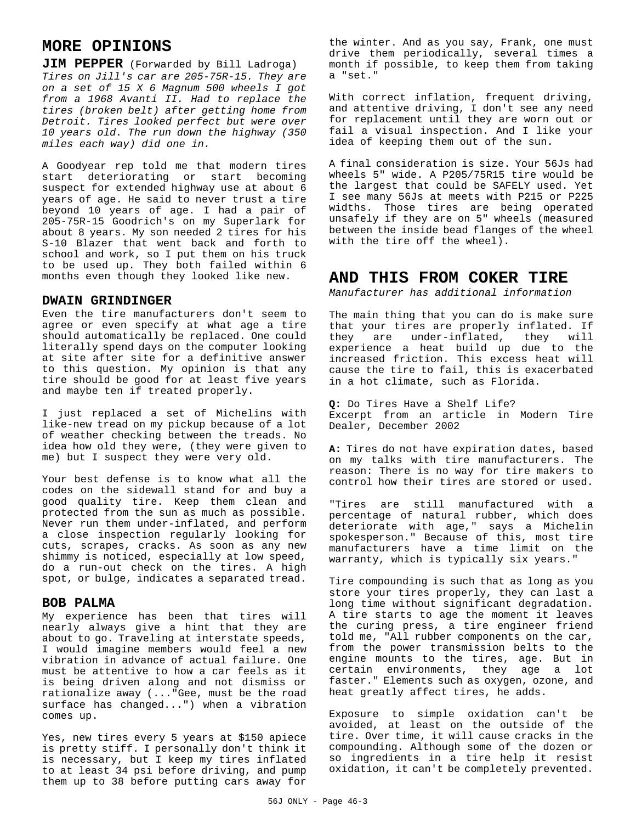# **MORE OPINIONS**

**JIM PEPPER** (Forwarded by Bill Ladroga) *Tires on Jill's car are 205-75R-15. They are on a set of 15 X 6 Magnum 500 wheels I got from a 1968 Avanti II. Had to replace the tires (broken belt) after getting home from Detroit. Tires looked perfect but were over 10 years old. The run down the highway (350 miles each way) did one in.*

A Goodyear rep told me that modern tires start deteriorating or start becoming suspect for extended highway use at about 6 years of age. He said to never trust a tire beyond 10 years of age. I had a pair of 205-75R-15 Goodrich's on my Superlark for about 8 years. My son needed 2 tires for his S-10 Blazer that went back and forth to school and work, so I put them on his truck to be used up. They both failed within 6 months even though they looked like new.

### **DWAIN GRINDINGER**

Even the tire manufacturers don't seem to agree or even specify at what age a tire should automatically be replaced. One could literally spend days on the computer looking at site after site for a definitive answer to this question. My opinion is that any tire should be good for at least five years and maybe ten if treated properly.

I just replaced a set of Michelins with like-new tread on my pickup because of a lot of weather checking between the treads. No idea how old they were, (they were given to me) but I suspect they were very old.

Your best defense is to know what all the codes on the sidewall stand for and buy a good quality tire. Keep them clean and protected from the sun as much as possible. Never run them under-inflated, and perform a close inspection regularly looking for cuts, scrapes, cracks. As soon as any new shimmy is noticed, especially at low speed, do a run-out check on the tires. A high spot, or bulge, indicates a separated tread.

### **BOB PALMA**

My experience has been that tires will nearly always give a hint that they are about to go. Traveling at interstate speeds, I would imagine members would feel a new vibration in advance of actual failure. One must be attentive to how a car feels as it is being driven along and not dismiss or rationalize away (..."Gee, must be the road surface has changed...") when a vibration comes up.

Yes, new tires every 5 years at \$150 apiece is pretty stiff. I personally don't think it is necessary, but I keep my tires inflated to at least 34 psi before driving, and pump them up to 38 before putting cars away for the winter. And as you say, Frank, one must drive them periodically, several times a month if possible, to keep them from taking a "set."

With correct inflation, frequent driving, and attentive driving, I don't see any need for replacement until they are worn out or fail a visual inspection. And I like your idea of keeping them out of the sun.

A final consideration is size. Your 56Js had wheels 5" wide. A P205/75R15 tire would be the largest that could be SAFELY used. Yet I see many 56Js at meets with P215 or P225 widths. Those tires are being operated unsafely if they are on 5" wheels (measured between the inside bead flanges of the wheel with the tire off the wheel).

## **AND THIS FROM COKER TIRE**

*Manufacturer has additional information*

The main thing that you can do is make sure that your tires are properly inflated. If they are under-inflated, they will experience a heat build up due to the increased friction. This excess heat will cause the tire to fail, this is exacerbated in a hot climate, such as Florida.

**Q:** Do Tires Have a Shelf Life? Excerpt from an article in Modern Tire Dealer, December 2002

**A:** Tires do not have expiration dates, based on my talks with tire manufacturers. The reason: There is no way for tire makers to control how their tires are stored or used.

"Tires are still manufactured with a percentage of natural rubber, which does deteriorate with age," says a Michelin spokesperson." Because of this, most tire manufacturers have a time limit on the warranty, which is typically six years."

Tire compounding is such that as long as you store your tires properly, they can last a long time without significant degradation. A tire starts to age the moment it leaves the curing press, a tire engineer friend told me, "All rubber components on the car, from the power transmission belts to the engine mounts to the tires, age. But in certain environments, they age a lot faster." Elements such as oxygen, ozone, and heat greatly affect tires, he adds.

Exposure to simple oxidation can't be avoided, at least on the outside of the tire. Over time, it will cause cracks in the compounding. Although some of the dozen or so ingredients in a tire help it resist oxidation, it can't be completely prevented.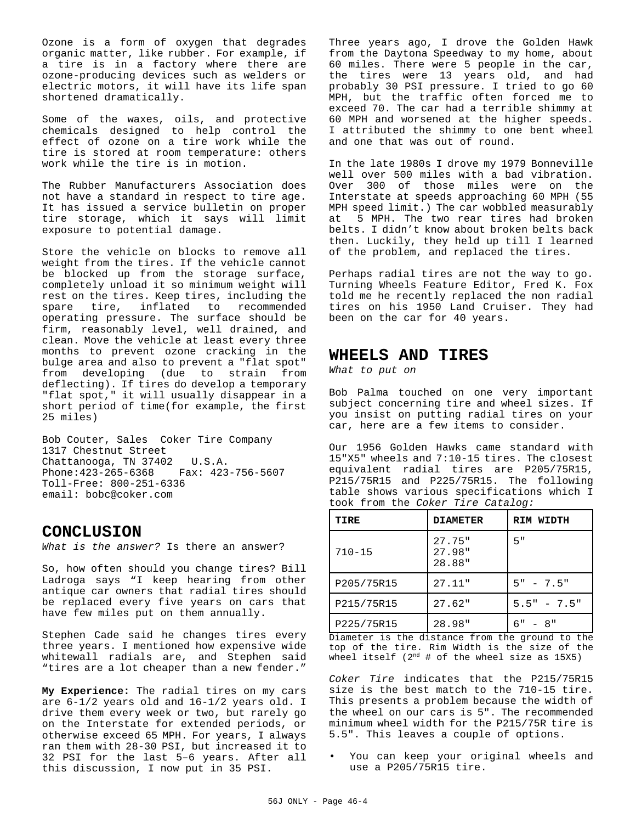Ozone is a form of oxygen that degrades organic matter, like rubber. For example, if a tire is in a factory where there are ozone-producing devices such as welders or electric motors, it will have its life span shortened dramatically.

Some of the waxes, oils, and protective chemicals designed to help control the effect of ozone on a tire work while the tire is stored at room temperature: others work while the tire is in motion.

The Rubber Manufacturers Association does not have a standard in respect to tire age. It has issued a service bulletin on proper tire storage, which it says will limit exposure to potential damage.

Store the vehicle on blocks to remove all weight from the tires. If the vehicle cannot be blocked up from the storage surface, completely unload it so minimum weight will rest on the tires. Keep tires, including the spare tire, inflated to recommended operating pressure. The surface should be firm, reasonably level, well drained, and clean. Move the vehicle at least every three months to prevent ozone cracking in the bulge area and also to prevent a "flat spot" from developing (due to strain from deflecting). If tires do develop a temporary "flat spot," it will usually disappear in a short period of time(for example, the first 25 miles)

Bob Couter, Sales Coker Tire Company 1317 Chestnut Street Chattanooga, TN 37402 U.S.A. Phone:423-265-6368 Fax: 423-756-5607 Toll-Free: 800-251-6336 email: bobc@coker.com

## **CONCLUSION**

*What is the answer?* Is there an answer?

So, how often should you change tires? Bill Ladroga says "I keep hearing from other antique car owners that radial tires should be replaced every five years on cars that have few miles put on them annually.

Stephen Cade said he changes tires every three years. I mentioned how expensive wide whitewall radials are, and Stephen said "tires are a lot cheaper than a new fender."

**My Experience:** The radial tires on my cars are 6-1/2 years old and 16-1/2 years old. I drive them every week or two, but rarely go on the Interstate for extended periods, or otherwise exceed 65 MPH. For years, I always ran them with 28-30 PSI, but increased it to 32 PSI for the last 5–6 years. After all this discussion, I now put in 35 PSI.

Three years ago, I drove the Golden Hawk from the Daytona Speedway to my home, about 60 miles. There were 5 people in the car, the tires were 13 years old, and had probably 30 PSI pressure. I tried to go 60 MPH, but the traffic often forced me to exceed 70. The car had a terrible shimmy at 60 MPH and worsened at the higher speeds. I attributed the shimmy to one bent wheel and one that was out of round.

In the late 1980s I drove my 1979 Bonneville well over 500 miles with a bad vibration. Over 300 of those miles were on the Interstate at speeds approaching 60 MPH (55 MPH speed limit.) The car wobbled measurably at 5 MPH. The two rear tires had broken belts. I didn't know about broken belts back then. Luckily, they held up till I learned of the problem, and replaced the tires.

Perhaps radial tires are not the way to go. Turning Wheels Feature Editor, Fred K. Fox told me he recently replaced the non radial tires on his 1950 Land Cruiser. They had been on the car for 40 years.

### **WHEELS AND TIRES**

*What to put on*

Bob Palma touched on one very important subject concerning tire and wheel sizes. If you insist on putting radial tires on your car, here are a few items to consider.

Our 1956 Golden Hawks came standard with 15"X5" wheels and 7:10-15 tires. The closest equivalent radial tires are P205/75R15, P215/75R15 and P225/75R15. The following table shows various specifications which I took from the *Coker Tire Catalog:*

| TIRE       | <b>DIAMETER</b>               | RIM WIDTH     |  |
|------------|-------------------------------|---------------|--|
| $710 - 15$ | $27.75$ "<br>27.98"<br>28.88" | 5"            |  |
| P205/75R15 | 27.11"                        | $5" - 7.5"$   |  |
| P215/75R15 | 27.62"                        | $5.5" - 7.5"$ |  |
| P225/75R15 | 28.98"                        | $6" - 8"$     |  |

Diameter is the distance from the ground to the top of the tire. Rim Width is the size of the wheel itself  $(2^{nd}$  # of the wheel size as 15X5)

*Coker Tire* indicates that the P215/75R15 size is the best match to the 710-15 tire. This presents a problem because the width of the wheel on our cars is 5". The recommended minimum wheel width for the P215/75R tire is 5.5". This leaves a couple of options.

• You can keep your original wheels and use a P205/75R15 tire.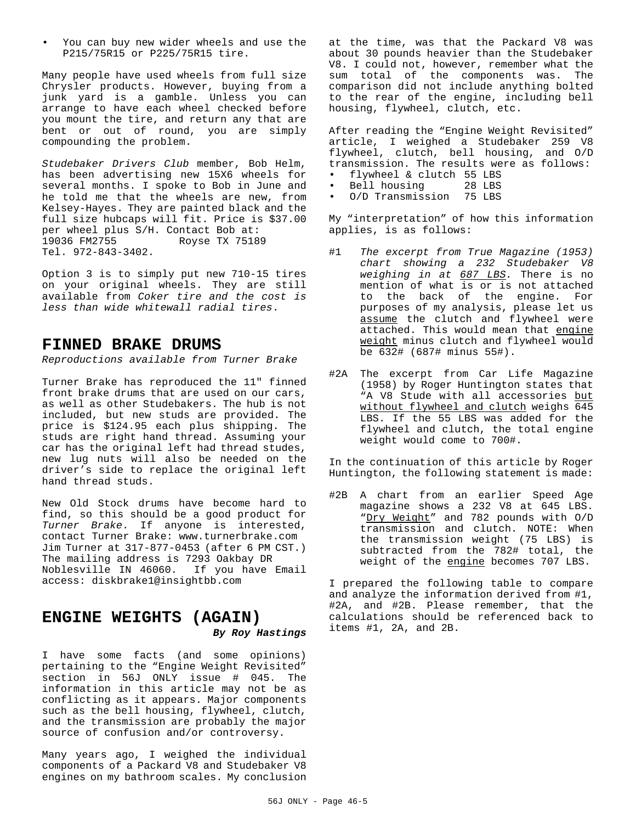• You can buy new wider wheels and use the P215/75R15 or P225/75R15 tire.

Many people have used wheels from full size Chrysler products. However, buying from a junk yard is a gamble. Unless you can arrange to have each wheel checked before you mount the tire, and return any that are bent or out of round, you are simply compounding the problem.

*Studebaker Drivers Club* member, Bob Helm, has been advertising new 15X6 wheels for several months. I spoke to Bob in June and he told me that the wheels are new, from Kelsey-Hayes. They are painted black and the full size hubcaps will fit. Price is \$37.00 per wheel plus S/H. Contact Bob at:<br>19036 FM2755 Royse TX 7518 Royse TX 75189 Tel. 972-843-3402.

Option 3 is to simply put new 710-15 tires on your original wheels. They are still available from *Coker tire and the cost is less than wide whitewall radial tires*.

### **FINNED BRAKE DRUMS**

*Reproductions available from Turner Brake*

Turner Brake has reproduced the 11" finned front brake drums that are used on our cars, as well as other Studebakers. The hub is not included, but new studs are provided. The price is \$124.95 each plus shipping. The studs are right hand thread. Assuming your car has the original left had thread studes, new lug nuts will also be needed on the driver's side to replace the original left hand thread studs.

New Old Stock drums have become hard to find, so this should be a good product for *Turner Brake*. If anyone is interested, contact Turner Brake: www.turnerbrake.com Jim Turner at 317-877-0453 (after 6 PM CST.) The mailing address is 7293 Oakbay DR Noblesville IN 46060. If you have Email access: diskbrake1@insightbb.com

# **ENGINE WEIGHTS (AGAIN)** *By Roy Hastings*

I have some facts (and some opinions) pertaining to the "Engine Weight Revisited" section in 56J ONLY issue # 045. The information in this article may not be as conflicting as it appears. Major components such as the bell housing, flywheel, clutch, and the transmission are probably the major source of confusion and/or controversy.

Many years ago, I weighed the individual components of a Packard V8 and Studebaker V8 engines on my bathroom scales. My conclusion at the time, was that the Packard V8 was about 30 pounds heavier than the Studebaker V8. I could not, however, remember what the sum total of the components was. The comparison did not include anything bolted to the rear of the engine, including bell housing, flywheel, clutch, etc.

After reading the "Engine Weight Revisited" article, I weighed a Studebaker 259 V8 flywheel, clutch, bell housing, and O/D transmission. The results were as follows:

- flywheel & clutch 55 LBS
- Bell housing 28 LBS
- O/D Transmission 75 LBS

My "interpretation" of how this information applies, is as follows:

- #1 *The excerpt from True Magazine (1953) chart showing a 232 Studebaker V8 weighing in at 687 LBS.* There is no mention of what is or is not attached to the back of the engine. For purposes of my analysis, please let us assume the clutch and flywheel were attached. This would mean that engine weight minus clutch and flywheel would be 632# (687# minus 55#).
- #2A The excerpt from Car Life Magazine (1958) by Roger Huntington states that "A V8 Stude with all accessories but without flywheel and clutch weighs 645 LBS. If the 55 LBS was added for the flywheel and clutch, the total engine weight would come to 700#.

In the continuation of this article by Roger Huntington, the following statement is made:

#2B A chart from an earlier Speed Age magazine shows a 232 V8 at 645 LBS. "Dry Weight" and 782 pounds with O/D transmission and clutch. NOTE: When the transmission weight (75 LBS) is subtracted from the 782# total, the weight of the engine becomes 707 LBS.

I prepared the following table to compare and analyze the information derived from #1, #2A, and #2B. Please remember, that the calculations should be referenced back to items #1, 2A, and 2B.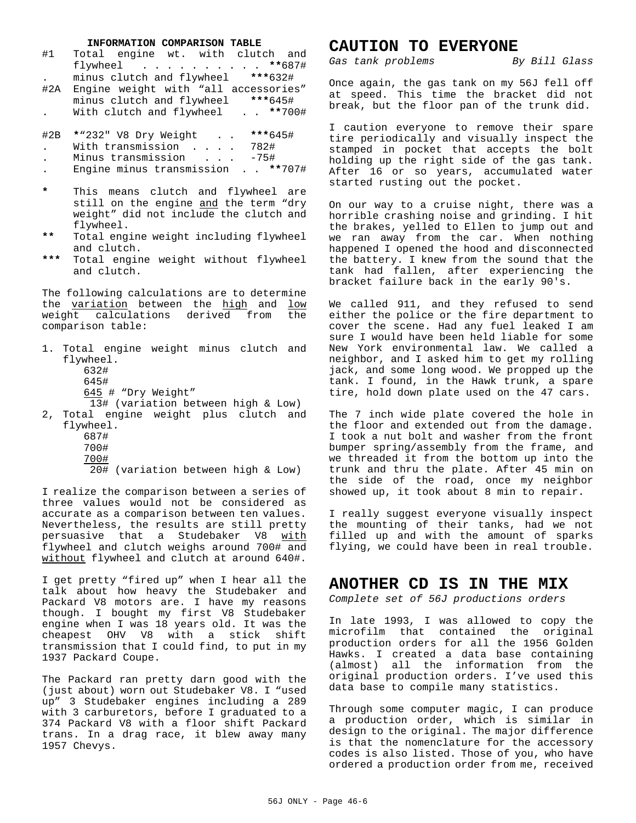#### **INFORMATION COMPARISON TABLE**

| #1                                         | Total engine wt. with clutch and<br>flywheel **687#                                                                                                                          |
|--------------------------------------------|------------------------------------------------------------------------------------------------------------------------------------------------------------------------------|
| #2A                                        | minus clutch and flywheel ***632#<br>Engine weight with "all accessories"<br>minus clutch and flywheel ***645#<br>With clutch and flywheel **700#                            |
| #2B<br>$\ddot{\phantom{0}}$<br>$\bullet$ . | *"232" V8 Dry Weight ***645#<br>With transmission 782#<br>Minus transmission -75#<br>Engine minus transmission ** 707#                                                       |
| $\star$<br>$***$                           | This means clutch and flywheel are<br>still on the engine and the term "dry<br>weight" did not include the clutch and<br>flywheel.<br>Total engine weight including flywheel |
| ***                                        | and clutch.<br>Total engine weight without flywheel<br>and clutch.                                                                                                           |
|                                            | The following calculations are to determine<br>the variation between the high and low<br>weight calculations derived from the<br>comparison table:                           |
|                                            | 1. Total engine weight minus clutch and<br>flywheel.<br>632#<br>645#<br>645 # "Dry Weight"                                                                                   |
|                                            | 13# (variation between high & Low)<br>2, Total engine weight plus clutch and<br>flywheel.                                                                                    |

687#

- 700#
- 700#
- 20# (variation between high & Low)

I realize the comparison between a series of three values would not be considered as accurate as a comparison between ten values. Nevertheless, the results are still pretty persuasive that a Studebaker V8 with flywheel and clutch weighs around 700# and without flywheel and clutch at around 640#.

I get pretty "fired up" when I hear all the talk about how heavy the Studebaker and Packard V8 motors are. I have my reasons though. I bought my first V8 Studebaker engine when I was 18 years old. It was the cheapest OHV V8 with a stick shift transmission that I could find, to put in my 1937 Packard Coupe.

The Packard ran pretty darn good with the (just about) worn out Studebaker V8. I "used up" 3 Studebaker engines including a 289 with 3 carburetors, before I graduated to a 374 Packard V8 with a floor shift Packard trans. In a drag race, it blew away many 1957 Chevys.

### **CAUTION TO EVERYONE**

*Gas tank problems By Bill Glass*

Once again, the gas tank on my 56J fell off at speed. This time the bracket did not break, but the floor pan of the trunk did.

I caution everyone to remove their spare tire periodically and visually inspect the stamped in pocket that accepts the bolt holding up the right side of the gas tank. After 16 or so years, accumulated water started rusting out the pocket.

On our way to a cruise night, there was a horrible crashing noise and grinding. I hit the brakes, yelled to Ellen to jump out and we ran away from the car. When nothing happened I opened the hood and disconnected the battery. I knew from the sound that the tank had fallen, after experiencing the bracket failure back in the early 90's.

We called 911, and they refused to send either the police or the fire department to cover the scene. Had any fuel leaked I am sure I would have been held liable for some New York environmental law. We called a neighbor, and I asked him to get my rolling jack, and some long wood. We propped up the tank. I found, in the Hawk trunk, a spare tire, hold down plate used on the 47 cars.

The 7 inch wide plate covered the hole in the floor and extended out from the damage. I took a nut bolt and washer from the front bumper spring/assembly from the frame, and we threaded it from the bottom up into the trunk and thru the plate. After 45 min on the side of the road, once my neighbor showed up, it took about 8 min to repair.

I really suggest everyone visually inspect the mounting of their tanks, had we not filled up and with the amount of sparks flying, we could have been in real trouble.

### **ANOTHER CD IS IN THE MIX**

*Complete set of 56J productions orders*

In late 1993, I was allowed to copy the microfilm that contained the original production orders for all the 1956 Golden Hawks. I created a data base containing (almost) all the information from the original production orders. I've used this data base to compile many statistics.

Through some computer magic, I can produce a production order, which is similar in design to the original. The major difference is that the nomenclature for the accessory codes is also listed. Those of you, who have ordered a production order from me, received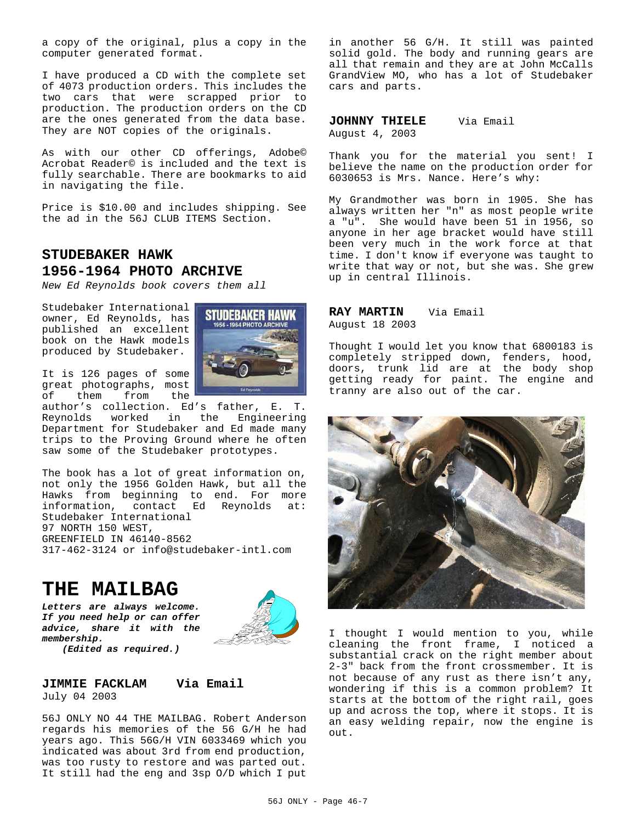a copy of the original, plus a copy in the computer generated format.

I have produced a CD with the complete set of 4073 production orders. This includes the two cars that were scrapped prior to production. The production orders on the CD are the ones generated from the data base. They are NOT copies of the originals.

As with our other CD offerings, Adobe© Acrobat Reader© is included and the text is fully searchable. There are bookmarks to aid in navigating the file.

Price is \$10.00 and includes shipping. See the ad in the 56J CLUB ITEMS Section.

# **STUDEBAKER HAWK 1956-1964 PHOTO ARCHIVE**

*New Ed Reynolds book covers them all*

Studebaker International owner, Ed Reynolds, has published an excellent book on the Hawk models produced by Studebaker.



It is 126 pages of some great photographs, most<br>of them from the of them from

author's collection. Ed's father, E. T. Reynolds worked in the Engineering Department for Studebaker and Ed made many trips to the Proving Ground where he often saw some of the Studebaker prototypes.

The book has a lot of great information on, not only the 1956 Golden Hawk, but all the Hawks from beginning to end. For more information, contact Ed Reynolds at: Studebaker International 97 NORTH 150 WEST, GREENFIELD IN 46140-8562 317-462-3124 or info@studebaker-intl.com

# **THE MAILBAG**

*Letters are always welcome. If you need help or can offer advice, share it with the membership. (Edited as required.)*



### **JIMMIE FACKLAM Via Email** July 04 2003

56J ONLY NO 44 THE MAILBAG. Robert Anderson regards his memories of the 56 G/H he had years ago. This 56G/H VIN 6033469 which you indicated was about 3rd from end production, was too rusty to restore and was parted out. It still had the eng and 3sp O/D which I put

in another 56 G/H. It still was painted solid gold. The body and running gears are all that remain and they are at John McCalls GrandView MO, who has a lot of Studebaker cars and parts.

JOHNNY THIELE Via Email August 4, 2003

Thank you for the material you sent! I believe the name on the production order for 6030653 is Mrs. Nance. Here's why:

My Grandmother was born in 1905. She has always written her "n" as most people write a "u". She would have been 51 in 1956, so anyone in her age bracket would have still been very much in the work force at that time. I don't know if everyone was taught to write that way or not, but she was. She grew up in central Illinois.

### **RAY MARTIN** Via Email August 18 2003

Thought I would let you know that 6800183 is completely stripped down, fenders, hood, doors, trunk lid are at the body shop getting ready for paint. The engine and tranny are also out of the car.



I thought I would mention to you, while cleaning the front frame, I noticed a substantial crack on the right member about 2-3" back from the front crossmember. It is not because of any rust as there isn't any, wondering if this is a common problem? It starts at the bottom of the right rail, goes up and across the top, where it stops. It is an easy welding repair, now the engine is  $O(1)$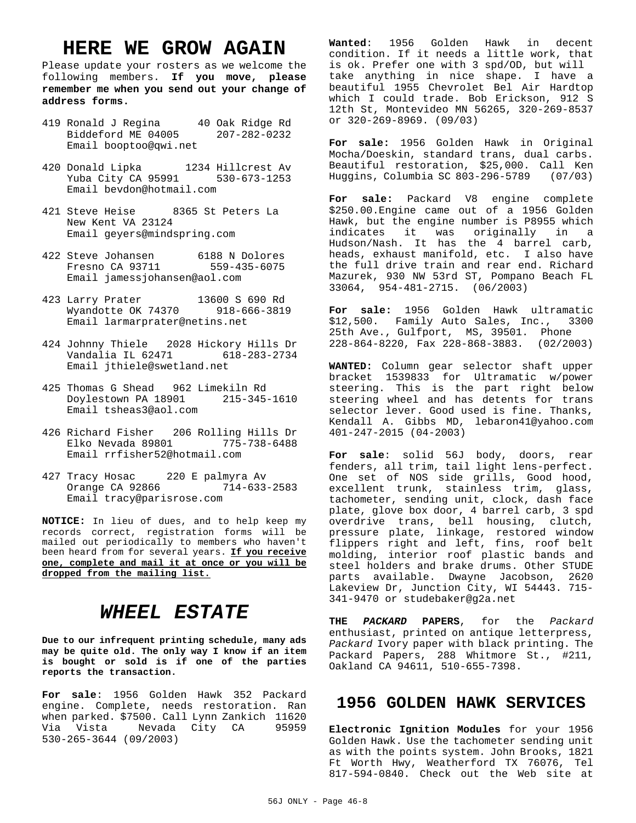# **HERE WE GROW AGAIN**

Please update your rosters as we welcome the following members. **If you move, please remember me when you send out your change of address forms.**

- 419 Ronald J Regina 40 Oak Ridge Rd Biddeford ME 04005 207-282-0232 Email booptoo@qwi.net
- 420 Donald Lipka 1234 Hillcrest Av Yuba City CA 95991 530-673-1253 Email bevdon@hotmail.com
- 421 Steve Heise 8365 St Peters La New Kent VA 23124 Email geyers@mindspring.com
- 422 Steve Johansen 6188 N Dolores Fresno CA 93711 559-435-6075 Email jamessjohansen@aol.com
- 423 Larry Prater 13600 S 690 Rd Wyandotte OK 74370 918-666-3819 Email larmarprater@netins.net
- 424 Johnny Thiele 2028 Hickory Hills Dr Vandalia IL 62471 618-283-2734 Email jthiele@swetland.net
- 425 Thomas G Shead 962 Limekiln Rd Doylestown PA 18901 215-345-1610 Email tsheas3@aol.com
- 426 Richard Fisher 206 Rolling Hills Dr Elko Nevada 89801 775-738-6488 Email rrfisher52@hotmail.com
- 427 Tracy Hosac 220 E palmyra Av Orange CA 92866 714-633-2583 Email tracy@parisrose.com

**NOTICE:** In lieu of dues, and to help keep my records correct, registration forms will be mailed out periodically to members who haven't been heard from for several years. **If you receive one, complete and mail it at once or you will be dropped from the mailing list.**

# *WHEEL ESTATE*

**Due to our infrequent printing schedule, many ads may be quite old. The only way I know if an item is bought or sold is if one of the parties reports the transaction.**

**For sale**: 1956 Golden Hawk 352 Packard engine. Complete, needs restoration. Ran when parked. \$7500. Call Lynn Zankich 11620<br>Via Vista – Nevada City CA – 95959 Nevada City CA 530-265-3644 (09/2003)

**Wanted**: 1956 Golden Hawk in decent condition. If it needs a little work, that is ok. Prefer one with 3 spd/OD, but will take anything in nice shape. I have a beautiful 1955 Chevrolet Bel Air Hardtop which I could trade. Bob Erickson, 912 S 12th St, Montevideo MN 56265, 320-269-8537 or 320-269-8969. (09/03)

**For sale:** 1956 Golden Hawk in Original Mocha/Doeskin, standard trans, dual carbs. Beautiful restoration, \$25,000. Call Ken Huggins, Columbia SC 803-296-5789 (07/03)

**For sale:** Packard V8 engine complete \$250.00.Engine came out of a 1956 Golden Hawk, but the engine number is P8955 which indicates it was originally in a Hudson/Nash. It has the 4 barrel carb, heads, exhaust manifold, etc. I also have the full drive train and rear end. Richard Mazurek, 930 NW 53rd ST, Pompano Beach FL 33064, 954-481-2715. (06/2003)

**For sale:** 1956 Golden Hawk ultramatic \$12,500. Family Auto Sales, Inc., 3300 25th Ave., Gulfport, MS, 39501. Phone 228-864-8220, Fax 228-868-3883. (02/2003)

**WANTED:** Column gear selector shaft upper bracket 1539833 for Ultramatic w/power steering. This is the part right below steering wheel and has detents for trans selector lever. Good used is fine. Thanks, Kendall A. Gibbs MD, lebaron41@yahoo.com 401-247-2015 (04-2003)

**For sale**: solid 56J body, doors, rear fenders, all trim, tail light lens-perfect. One set of NOS side grills, Good hood, excellent trunk, stainless trim, glass, tachometer, sending unit, clock, dash face plate, glove box door, 4 barrel carb, 3 spd overdrive trans, bell housing, clutch, pressure plate, linkage, restored window flippers right and left, fins, roof belt molding, interior roof plastic bands and steel holders and brake drums. Other STUDE parts available. Dwayne Jacobson, 2620 Lakeview Dr, Junction City, WI 54443. 715- 341-9470 or studebaker@g2a.net

**THE** *PACKARD* **PAPERS**, for the *Packard* enthusiast, printed on antique letterpress, *Packard* Ivory paper with black printing. The Packard Papers, 288 Whitmore St., #211, Oakland CA 94611, 510-655-7398.

# **1956 GOLDEN HAWK SERVICES**

**Electronic Ignition Modules** for your 1956 Golden Hawk. Use the tachometer sending unit as with the points system. John Brooks, 1821 Ft Worth Hwy, Weatherford TX 76076, Tel 817-594-0840. Check out the Web site at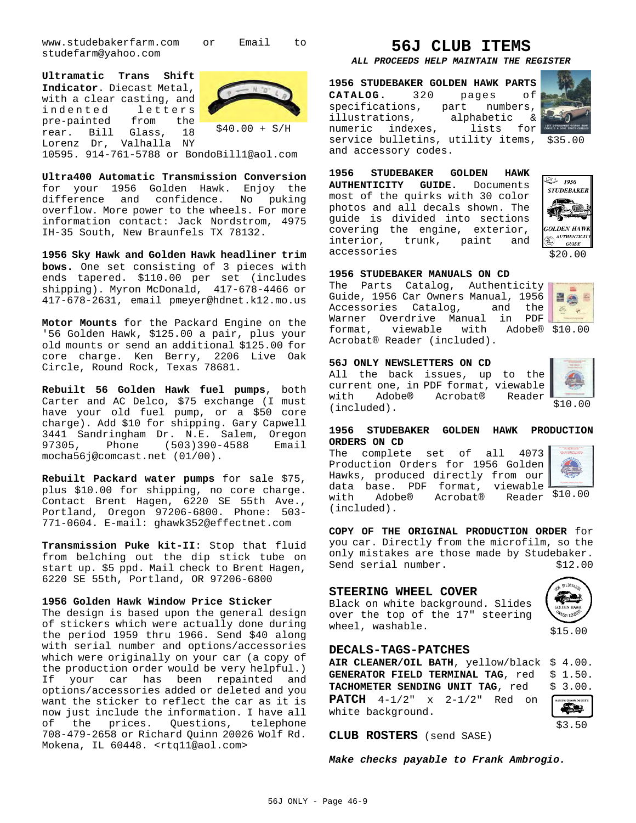www.studebakerfarm.com or Email to studefarm@yahoo.com

**Ultramatic Trans Shift Indicator**. Diecast Metal, with a clear casting, and indented letters<br>pre-painted from the pre-painted from the rear. Bill Glass, 18 Lorenz Dr, Valhalla NY



10595. 914-761-5788 or BondoBill1@aol.com

**Ultra400 Automatic Transmission Conversion** for your 1956 Golden Hawk. Enjoy the difference and confidence. No puking overflow. More power to the wheels. For more information contact: Jack Nordstrom, 4975 IH-35 South, New Braunfels TX 78132.

**1956 Sky Hawk and Golden Hawk headliner trim bows.** One set consisting of 3 pieces with ends tapered. \$110.00 per set (includes shipping). Myron McDonald, 417-678-4466 or 417-678-2631, email pmeyer@hdnet.k12.mo.us

**Motor Mounts** for the Packard Engine on the '56 Golden Hawk, \$125.00 a pair, plus your old mounts or send an additional \$125.00 for core charge. Ken Berry, 2206 Live Oak Circle, Round Rock, Texas 78681.

**Rebuilt 56 Golden Hawk fuel pumps**, both Carter and AC Delco, \$75 exchange (I must have your old fuel pump, or a \$50 core charge). Add \$10 for shipping. Gary Capwell 3441 Sandringham Dr. N.E. Salem, Oregon 97305, Phone (503)390-4588 Email mocha56j@comcast.net (01/00).

**Rebuilt Packard water pumps** for sale \$75, plus \$10.00 for shipping, no core charge. Contact Brent Hagen, 6220 SE 55th Ave., Portland, Oregon 97206-6800. Phone: 503- 771-0604. E-mail: ghawk352@effectnet.com

**Transmission Puke kit-II**: Stop that fluid from belching out the dip stick tube on start up. \$5 ppd. Mail check to Brent Hagen, 6220 SE 55th, Portland, OR 97206-6800

### **1956 Golden Hawk Window Price Sticker**

The design is based upon the general design of stickers which were actually done during the period 1959 thru 1966. Send \$40 along with serial number and options/accessories which were originally on your car (a copy of the production order would be very helpful.) If your car has been repainted and options/accessories added or deleted and you want the sticker to reflect the car as it is now just include the information. I have all of the prices. Questions, telephone 708-479-2658 or Richard Quinn 20026 Wolf Rd. Mokena, IL 60448. <rtq11@aol.com>

# **56J CLUB ITEMS**

### *ALL PROCEEDS HELP MAINTAIN THE REGISTER*

service bulletins, utility items, \$35.00 **1956 STUDEBAKER GOLDEN HAWK PARTS CATALOG.** 320 pages of specifications, part numbers, illustrations, alphabetic & numeric indexes, lists for and accessory codes.



**1956 STUDEBAKER GOLDEN HAWK AUTHENTICITY GUIDE.** Documents most of the quirks with 30 color photos and all decals shown. The guide is divided into sections covering the engine, exterior, interior, trunk, paint and accessories



### **1956 STUDEBAKER MANUALS ON CD**

format, viewable with Adobe® \$10.00 The Parts Catalog, Authenticity Guide, 1956 Car Owners Manual, 1956 Accessories Catalog, and the Warner Overdrive Manual in PDF Acrobat® Reader (included).



#### **56J ONLY NEWSLETTERS ON CD**

All the back issues, up to the current one, in PDF format, viewable with Adobe® Acrobat® Reader (included).



\$10.00

### **1956 STUDEBAKER GOLDEN HAWK PRODUCTION ORDERS ON CD**

with Adobe® Acrobat® Reader \$10.00 The complete set of all 4073 Production Orders for 1956 Golden Hawks, produced directly from our data base. PDF format, viewable (included).



**COPY OF THE ORIGINAL PRODUCTION ORDER** for you car. Directly from the microfilm, so the only mistakes are those made by Studebaker.<br>Send serial number. \$12.00 Send serial number.

### **STEERING WHEEL COVER**

Black on white background. Slides over the top of the 17" steering wheel, washable.

### **DECALS-TAGS-PATCHES**

**AIR CLEANER/OIL BATH**, yellow/black \$ 4.00. **GENERATOR FIELD TERMINAL TAG, red** TACHOMETER SENDING UNIT TAG, red **PATCH** 4-1/2" x 2-1/2" Red on white background.



\$15.00

| GIBLION DIRECTOR<br>1897 |  |  |  |  |
|--------------------------|--|--|--|--|

\$3.50

**CLUB ROSTERS** (send SASE)

*Make checks payable to Frank Ambrogio.*